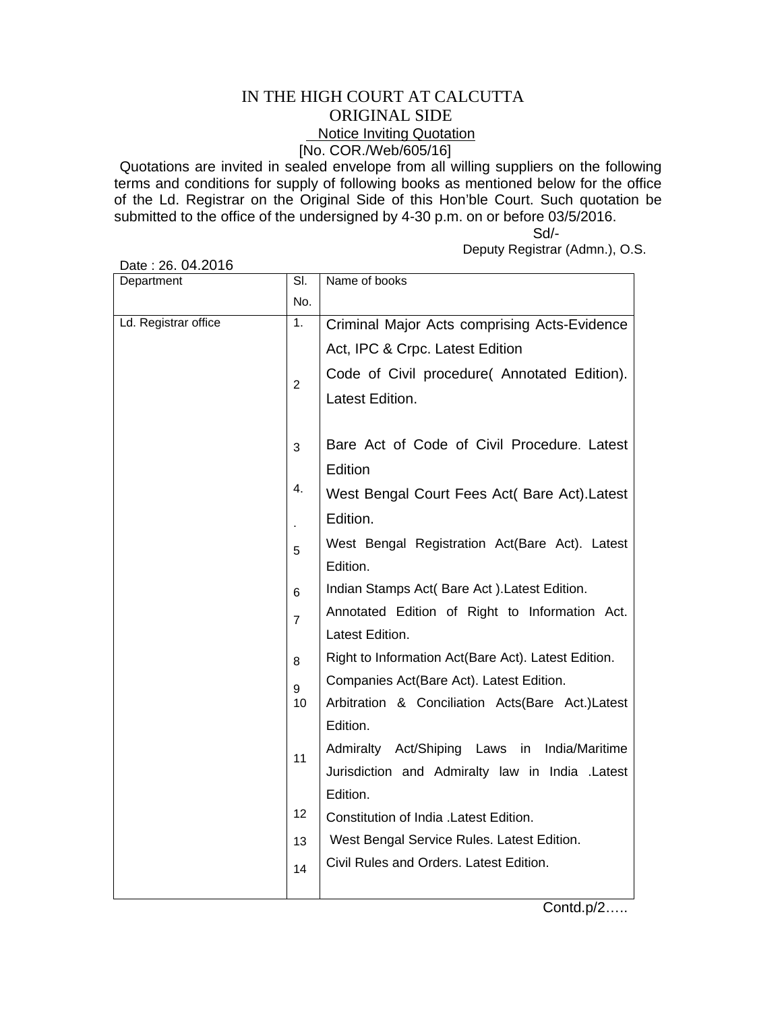## IN THE HIGH COURT AT CALCUTTA ORIGINAL SIDE **Notice Inviting Quotation** [No. COR./Web/605/16]

Quotations are invited in sealed envelope from all willing suppliers on the following terms and conditions for supply of following books as mentioned below for the office of the Ld. Registrar on the Original Side of this Hon'ble Court. Such quotation be submitted to the office of the undersigned by 4-30 p.m. on or before 03/5/2016.

 Sd/- Deputy Registrar (Admn.), O.S.

| Department           | $\overline{\mathsf{SI}}$ | Name of books                                       |
|----------------------|--------------------------|-----------------------------------------------------|
|                      | No.                      |                                                     |
| Ld. Registrar office | 1.                       | Criminal Major Acts comprising Acts-Evidence        |
|                      |                          | Act, IPC & Crpc. Latest Edition                     |
|                      | $\overline{2}$           | Code of Civil procedure( Annotated Edition).        |
|                      |                          | Latest Edition.                                     |
|                      |                          |                                                     |
|                      | 3                        | Bare Act of Code of Civil Procedure. Latest         |
|                      |                          | Edition                                             |
|                      | 4.                       | West Bengal Court Fees Act( Bare Act). Latest       |
|                      | ä,                       | Edition.                                            |
|                      | 5                        | West Bengal Registration Act(Bare Act). Latest      |
|                      |                          | Edition.                                            |
|                      | 6                        | Indian Stamps Act( Bare Act). Latest Edition.       |
|                      | $\overline{7}$           | Annotated Edition of Right to Information Act.      |
|                      |                          | Latest Edition.                                     |
|                      | 8                        | Right to Information Act(Bare Act). Latest Edition. |
|                      | 9                        | Companies Act(Bare Act). Latest Edition.            |
|                      | 10                       | Arbitration & Conciliation Acts(Bare Act.)Latest    |
|                      |                          | Edition.                                            |
|                      | 11                       | Admiralty Act/Shiping Laws<br>India/Maritime<br>in  |
|                      |                          | Jurisdiction and Admiralty law in India .Latest     |
|                      |                          | Edition.                                            |
|                      | 12                       | Constitution of India .Latest Edition.              |
|                      | 13                       | West Bengal Service Rules. Latest Edition.          |
|                      | 14                       | Civil Rules and Orders. Latest Edition.             |
|                      |                          |                                                     |

Date : 26. 04.2016

Contd.p/2…..